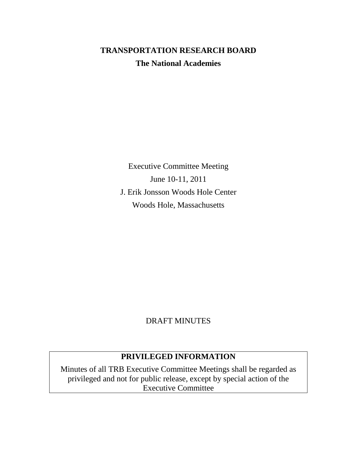# **TRANSPORTATION RESEARCH BOARD The National Academies**

Executive Committee Meeting June 10-11, 2011 J. Erik Jonsson Woods Hole Center Woods Hole, Massachusetts

# DRAFT MINUTES

# **PRIVILEGED INFORMATION**

Minutes of all TRB Executive Committee Meetings shall be regarded as privileged and not for public release, except by special action of the Executive Committee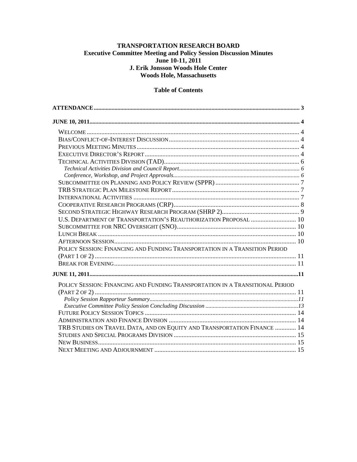#### TRANSPORTATION RESEARCH BOARD **Executive Committee Meeting and Policy Session Discussion Minutes** June 10-11, 2011 J. Erik Jonsson Woods Hole Center **Woods Hole, Massachusetts**

#### **Table of Contents**

| U.S. DEPARTMENT OF TRANSPORTATION'S REAUTHORIZATION PROPOSAL  10              |  |
|-------------------------------------------------------------------------------|--|
|                                                                               |  |
|                                                                               |  |
|                                                                               |  |
| POLICY SESSION: FINANCING AND FUNDING TRANSPORTATION IN A TRANSITION PERIOD   |  |
|                                                                               |  |
|                                                                               |  |
|                                                                               |  |
| POLICY SESSION: FINANCING AND FUNDING TRANSPORTATION IN A TRANSITIONAL PERIOD |  |
|                                                                               |  |
|                                                                               |  |
|                                                                               |  |
|                                                                               |  |
|                                                                               |  |
| TRB STUDIES ON TRAVEL DATA, AND ON EQUITY AND TRANSPORTATION FINANCE  14      |  |
|                                                                               |  |
|                                                                               |  |
|                                                                               |  |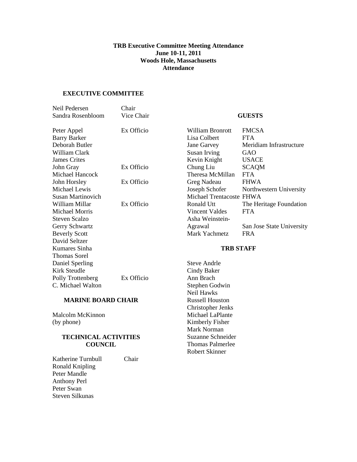#### **TRB Executive Committee Meeting Attendance June 10-11, 2011 Woods Hole, Massachusetts Attendance**

### <span id="page-2-0"></span>**EXECUTIVE COMMITTEE**

| Neil Pedersen             | Chair      |                          |                           |
|---------------------------|------------|--------------------------|---------------------------|
| Sandra Rosenbloom         | Vice Chair | <b>GUESTS</b>            |                           |
| Peter Appel               | Ex Officio | William Bronrott         | <b>FMCSA</b>              |
| <b>Barry Barker</b>       |            | Lisa Colbert             | <b>FTA</b>                |
| Deborah Butler            |            | Jane Garvey              | Meridiam Infrastructure   |
| William Clark             |            | Susan Irving             | GAO                       |
| <b>James Crites</b>       |            | Kevin Knight             | <b>USACE</b>              |
| John Gray                 | Ex Officio | Chung Liu                | <b>SCAQM</b>              |
| Michael Hancock           |            | Theresa McMillan         | <b>FTA</b>                |
| John Horsley              | Ex Officio | Greg Nadeau              | <b>FHWA</b>               |
| Michael Lewis             |            | Joseph Schofer           | Northwestern University   |
| <b>Susan Martinovich</b>  |            | Michael Trentacoste FHWA |                           |
| William Millar            | Ex Officio | Ronald Utt               | The Heritage Foundation   |
| <b>Michael Morris</b>     |            | Vincent Valdes           | <b>FTA</b>                |
| <b>Steven Scalzo</b>      |            | Asha Weinstein-          |                           |
| Gerry Schwartz            |            | Agrawal                  | San Jose State University |
| <b>Beverly Scott</b>      |            | Mark Yachmetz            | <b>FRA</b>                |
| David Seltzer             |            |                          |                           |
| Kumares Sinha             |            | <b>TRB STAFF</b>         |                           |
| <b>Thomas Sorel</b>       |            |                          |                           |
| Daniel Sperling           |            | Steve Andrle             |                           |
| Kirk Steudle              |            | Cindy Baker              |                           |
| Polly Trottenberg         | Ex Officio | Ann Brach                |                           |
| C. Michael Walton         |            | Stephen Godwin           |                           |
|                           |            | Neil Hawks               |                           |
| <b>MARINE BOARD CHAIR</b> |            | <b>Russell Houston</b>   |                           |
|                           |            | Christopher Jenks        |                           |

Malcolm McKinnon (by phone)

#### **TECHNICAL ACTIVITIES COUNCIL**

Katherine Turnbull Chair Ronald Knipling Peter Mandle Anthony Perl Peter Swan Steven Silkunas

Michael LaPlante Kimberly Fisher Mark Norman Suzanne Schneider Thomas Palmerlee Robert Skinner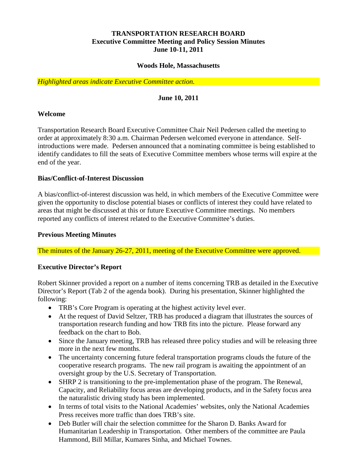# **TRANSPORTATION RESEARCH BOARD Executive Committee Meeting and Policy Session Minutes June 10-11, 2011**

#### **Woods Hole, Massachusetts**

<span id="page-3-0"></span>*Highlighted areas indicate Executive Committee action.*

### **June 10, 2011**

#### <span id="page-3-1"></span>**Welcome**

Transportation Research Board Executive Committee Chair Neil Pedersen called the meeting to order at approximately 8:30 a.m. Chairman Pedersen welcomed everyone in attendance. Selfintroductions were made. Pedersen announced that a nominating committee is being established to identify candidates to fill the seats of Executive Committee members whose terms will expire at the end of the year.

#### <span id="page-3-2"></span>**Bias/Conflict-of-Interest Discussion**

A bias/conflict-of-interest discussion was held, in which members of the Executive Committee were given the opportunity to disclose potential biases or conflicts of interest they could have related to areas that might be discussed at this or future Executive Committee meetings. No members reported any conflicts of interest related to the Executive Committee's duties.

#### <span id="page-3-3"></span>**Previous Meeting Minutes**

The minutes of the January 26-27, 2011, meeting of the Executive Committee were approved.

#### <span id="page-3-4"></span>**Executive Director's Report**

Robert Skinner provided a report on a number of items concerning TRB as detailed in the Executive Director's Report (Tab 2 of the agenda book). During his presentation, Skinner highlighted the following:

- TRB's Core Program is operating at the highest activity level ever.
- At the request of David Seltzer, TRB has produced a diagram that illustrates the sources of transportation research funding and how TRB fits into the picture. Please forward any feedback on the chart to Bob.
- Since the January meeting, TRB has released three policy studies and will be releasing three more in the next few months.
- The uncertainty concerning future federal transportation programs clouds the future of the cooperative research programs. The new rail program is awaiting the appointment of an oversight group by the U.S. Secretary of Transportation.
- SHRP 2 is transitioning to the pre-implementation phase of the program. The Renewal, Capacity, and Reliability focus areas are developing products, and in the Safety focus area the naturalistic driving study has been implemented.
- In terms of total visits to the National Academies' websites, only the National Academies Press receives more traffic than does TRB's site.
- Deb Butler will chair the selection committee for the Sharon D. Banks Award for Humanitarian Leadership in Transportation. Other members of the committee are Paula Hammond, Bill Millar, Kumares Sinha, and Michael Townes.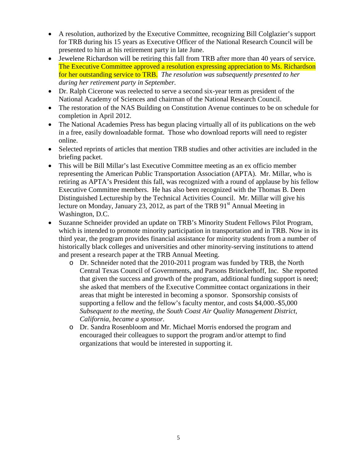- A resolution, authorized by the Executive Committee, recognizing Bill Colglazier's support for TRB during his 15 years as Executive Officer of the National Research Council will be presented to him at his retirement party in late June.
- Jewelene Richardson will be retiring this fall from TRB after more than 40 years of service. The Executive Committee approved a resolution expressing appreciation to Ms. Richardson for her outstanding service to TRB. *The resolution was subsequently presented to her during her retirement party in September.*
- Dr. Ralph Cicerone was reelected to serve a second six-year term as president of the National Academy of Sciences and chairman of the National Research Council.
- The restoration of the NAS Building on Constitution Avenue continues to be on schedule for completion in April 2012.
- The National Academies Press has begun placing virtually all of its publications on the web in a free, easily downloadable format. Those who download reports will need to register online.
- Selected reprints of articles that mention TRB studies and other activities are included in the briefing packet.
- This will be Bill Millar's last Executive Committee meeting as an ex officio member representing the American Public Transportation Association (APTA). Mr. Millar, who is retiring as APTA's President this fall, was recognized with a round of applause by his fellow Executive Committee members. He has also been recognized with the Thomas B. Deen Distinguished Lectureship by the Technical Activities Council. Mr. Millar will give his lecture on Monday, January 23, 2012, as part of the TRB  $91<sup>st</sup>$  Annual Meeting in Washington, D.C.
- <span id="page-4-0"></span>• Suzanne Schneider provided an update on TRB's Minority Student Fellows Pilot Program, which is intended to promote minority participation in transportation and in TRB. Now in its third year, the program provides financial assistance for minority students from a number of historically black colleges and universities and other minority-serving institutions to attend and present a research paper at the TRB Annual Meeting.
	- o Dr. Schneider noted that the 2010-2011 program was funded by TRB, the North Central Texas Council of Governments, and Parsons Brinckerhoff, Inc. She reported that given the success and growth of the program, additional funding support is need; she asked that members of the Executive Committee contact organizations in their areas that might be interested in becoming a sponsor. Sponsorship consists of supporting a fellow and the fellow's faculty mentor, and costs \$4,000.-\$5,000 *Subsequent to the meeting, the South Coast Air Quality Management District, California, became a sponsor.*
	- o Dr. Sandra Rosenbloom and Mr. Michael Morris endorsed the program and encouraged their colleagues to support the program and/or attempt to find organizations that would be interested in supporting it.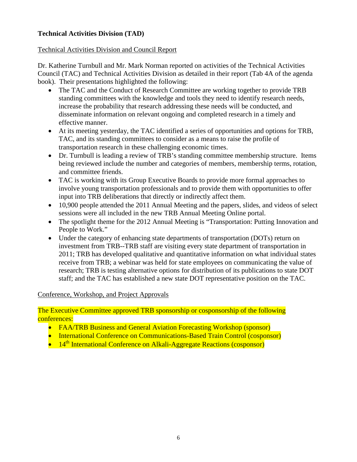# **Technical Activities Division (TAD)**

### <span id="page-5-0"></span>Technical Activities Division and Council Report

Dr. Katherine Turnbull and Mr. Mark Norman reported on activities of the Technical Activities Council (TAC) and Technical Activities Division as detailed in their report (Tab 4A of the agenda book). Their presentations highlighted the following:

- The TAC and the Conduct of Research Committee are working together to provide TRB standing committees with the knowledge and tools they need to identify research needs, increase the probability that research addressing these needs will be conducted, and disseminate information on relevant ongoing and completed research in a timely and effective manner.
- At its meeting yesterday, the TAC identified a series of opportunities and options for TRB, TAC, and its standing committees to consider as a means to raise the profile of transportation research in these challenging economic times.
- Dr. Turnbull is leading a review of TRB's standing committee membership structure. Items being reviewed include the number and categories of members, membership terms, rotation, and committee friends.
- TAC is working with its Group Executive Boards to provide more formal approaches to involve young transportation professionals and to provide them with opportunities to offer input into TRB deliberations that directly or indirectly affect them.
- 10,900 people attended the 2011 Annual Meeting and the papers, slides, and videos of select sessions were all included in the new TRB Annual Meeting Online portal.
- The spotlight theme for the 2012 Annual Meeting is "Transportation: Putting Innovation and People to Work."
- Under the category of enhancing state departments of transportation (DOTs) return on investment from TRB--TRB staff are visiting every state department of transportation in 2011; TRB has developed qualitative and quantitative information on what individual states receive from TRB; a webinar was held for state employees on communicating the value of research; TRB is testing alternative options for distribution of its publications to state DOT staff; and the TAC has established a new state DOT representative position on the TAC.

# <span id="page-5-1"></span>Conference, Workshop, and Project Approvals

The Executive Committee approved TRB sponsorship or cosponsorship of the following conferences:

- FAA/TRB Business and General Aviation Forecasting Workshop (sponsor)
- International Conference on Communications-Based Train Control (cosponsor)
- <span id="page-5-2"></span>•  $14<sup>th</sup>$  International Conference on Alkali-Aggregate Reactions (cosponsor)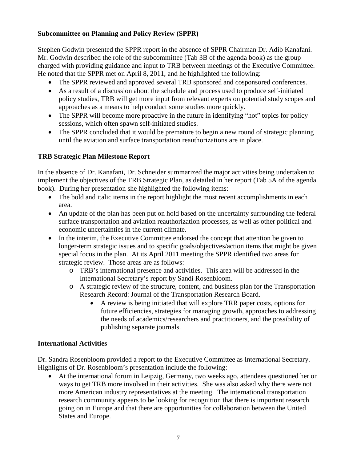# **Subcommittee on Planning and Policy Review (SPPR)**

Stephen Godwin presented the SPPR report in the absence of SPPR Chairman Dr. Adib Kanafani. Mr. Godwin described the role of the subcommittee (Tab 3B of the agenda book) as the group charged with providing guidance and input to TRB between meetings of the Executive Committee. He noted that the SPPR met on April 8, 2011, and he highlighted the following:

- The SPPR reviewed and approved several TRB sponsored and cosponsored conferences.
- As a result of a discussion about the schedule and process used to produce self-initiated policy studies, TRB will get more input from relevant experts on potential study scopes and approaches as a means to help conduct some studies more quickly.
- The SPPR will become more proactive in the future in identifying "hot" topics for policy sessions, which often spawn self-initiated studies.
- The SPPR concluded that it would be premature to begin a new round of strategic planning until the aviation and surface transportation reauthorizations are in place.

# <span id="page-6-0"></span>**TRB Strategic Plan Milestone Report**

In the absence of Dr. Kanafani, Dr. Schneider summarized the major activities being undertaken to implement the objectives of the TRB Strategic Plan, as detailed in her report (Tab 5A of the agenda book). During her presentation she highlighted the following items:

- The bold and italic items in the report highlight the most recent accomplishments in each area.
- An update of the plan has been put on hold based on the uncertainty surrounding the federal surface transportation and aviation reauthorization processes, as well as other political and economic uncertainties in the current climate.
- In the interim, the Executive Committee endorsed the concept that attention be given to longer-term strategic issues and to specific goals/objectives/action items that might be given special focus in the plan. At its April 2011 meeting the SPPR identified two areas for strategic review. Those areas are as follows:
	- o TRB's international presence and activities. This area will be addressed in the International Secretary's report by Sandi Rosenbloom.
	- o A strategic review of the structure, content, and business plan for the Transportation Research Record: Journal of the Transportation Research Board.
		- A review is being initiated that will explore TRR paper costs, options for future efficiencies, strategies for managing growth, approaches to addressing the needs of academics/researchers and practitioners, and the possibility of publishing separate journals.

# <span id="page-6-1"></span>**International Activities**

Dr. Sandra Rosenbloom provided a report to the Executive Committee as International Secretary. Highlights of Dr. Rosenbloom's presentation include the following:

• At the international forum in Leipzig, Germany, two weeks ago, attendees questioned her on ways to get TRB more involved in their activities. She was also asked why there were not more American industry representatives at the meeting. The international transportation research community appears to be looking for recognition that there is important research going on in Europe and that there are opportunities for collaboration between the United States and Europe.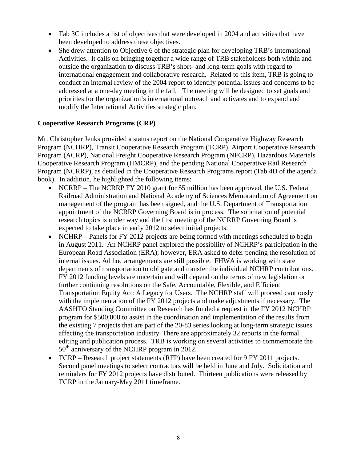- Tab 3C includes a list of objectives that were developed in 2004 and activities that have been developed to address these objectives.
- She drew attention to Objective 6 of the strategic plan for developing TRB's International Activities. It calls on bringing together a wide range of TRB stakeholders both within and outside the organization to discuss TRB's short- and long-term goals with regard to international engagement and collaborative research. Related to this item, TRB is going to conduct an internal review of the 2004 report to identify potential issues and concerns to be addressed at a one-day meeting in the fall. The meeting will be designed to set goals and priorities for the organization's international outreach and activates and to expand and modify the International Activities strategic plan.

# <span id="page-7-0"></span>**Cooperative Research Programs (CRP)**

Mr. Christopher Jenks provided a status report on the National Cooperative Highway Research Program (NCHRP), Transit Cooperative Research Program (TCRP), Airport Cooperative Research Program (ACRP), National Freight Cooperative Research Program (NFCRP), Hazardous Materials Cooperative Research Program (HMCRP), and the pending National Cooperative Rail Research Program (NCRRP), as detailed in the Cooperative Research Programs report (Tab 4D of the agenda book). In addition, he highlighted the following items:

- NCRRP The NCRRP FY 2010 grant for \$5 million has been approved, the U.S. Federal Railroad Administration and National Academy of Sciences Memorandum of Agreement on management of the program has been signed, and the U.S. Department of Transportation appointment of the NCRRP Governing Board is in process. The solicitation of potential research topics is under way and the first meeting of the NCRRP Governing Board is expected to take place in early 2012 to select initial projects.
- NCHRP Panels for FY 2012 projects are being formed with meetings scheduled to begin in August 2011. An NCHRP panel explored the possibility of NCHRP's participation in the European Road Association (ERA); however, ERA asked to defer pending the resolution of internal issues. Ad hoc arrangements are still possible. FHWA is working with state departments of transportation to obligate and transfer the individual NCHRP contributions. FY 2012 funding levels are uncertain and will depend on the terms of new legislation or further continuing resolutions on the Safe, Accountable, Flexible, and Efficient Transportation Equity Act: A Legacy for Users. The NCHRP staff will proceed cautiously with the implementation of the FY 2012 projects and make adjustments if necessary. The AASHTO Standing Committee on Research has funded a request in the FY 2012 NCHRP program for \$500,000 to assist in the coordination and implementation of the results from the existing 7 projects that are part of the 20-83 series looking at long-term strategic issues affecting the transportation industry. There are approximately 32 reports in the formal editing and publication process. TRB is working on several activities to commemorate the 50<sup>th</sup> anniversary of the NCHRP program in 2012.
- TCRP Research project statements (RFP) have been created for 9 FY 2011 projects. Second panel meetings to select contractors will be held in June and July. Solicitation and reminders for FY 2012 projects have distributed. Thirteen publications were released by TCRP in the January-May 2011 timeframe.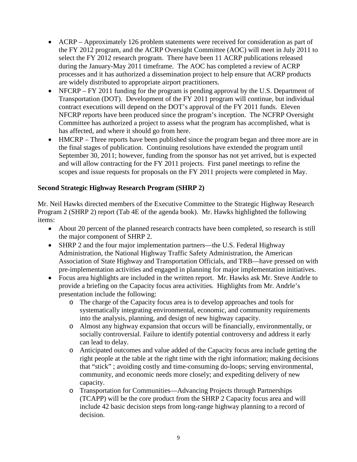- ACRP Approximately 126 problem statements were received for consideration as part of the FY 2012 program, and the ACRP Oversight Committee (AOC) will meet in July 2011 to select the FY 2012 research program. There have been 11 ACRP publications released during the January-May 2011 timeframe. The AOC has completed a review of ACRP processes and it has authorized a dissemination project to help ensure that ACRP products are widely distributed to appropriate airport practitioners.
- NFCRP FY 2011 funding for the program is pending approval by the U.S. Department of Transportation (DOT). Development of the FY 2011 program will continue, but individual contract executions will depend on the DOT's approval of the FY 2011 funds. Eleven NFCRP reports have been produced since the program's inception. The NCFRP Oversight Committee has authorized a project to assess what the program has accomplished, what is has affected, and where it should go from here.
- HMCRP Three reports have been published since the program began and three more are in the final stages of publication. Continuing resolutions have extended the program until September 30, 2011; however, funding from the sponsor has not yet arrived, but is expected and will allow contracting for the FY 2011 projects. First panel meetings to refine the scopes and issue requests for proposals on the FY 2011 projects were completed in May.

# <span id="page-8-0"></span>**Second Strategic Highway Research Program (SHRP 2)**

Mr. Neil Hawks directed members of the Executive Committee to the Strategic Highway Research Program 2 (SHRP 2) report (Tab 4E of the agenda book). Mr. Hawks highlighted the following items:

- About 20 percent of the planned research contracts have been completed, so research is still the major component of SHRP 2.
- SHRP 2 and the four major implementation partners—the U.S. Federal Highway Administration, the National Highway Traffic Safety Administration, the American Association of State Highway and Transportation Officials, and TRB—have pressed on with pre-implementation activities and engaged in planning for major implementation initiatives.
- Focus area highlights are included in the written report. Mr. Hawks ask Mr. Steve Andrle to provide a briefing on the Capacity focus area activities. Highlights from Mr. Andrle's presentation include the following:
	- o The charge of the Capacity focus area is to develop approaches and tools for systematically integrating environmental, economic, and community requirements into the analysis, planning, and design of new highway capacity.
	- o Almost any highway expansion that occurs will be financially, environmentally, or socially controversial. Failure to identify potential controversy and address it early can lead to delay.
	- o Anticipated outcomes and value added of the Capacity focus area include getting the right people at the table at the right time with the right information; making decisions that "stick" ; avoiding costly and time-consuming do-loops; serving environmental, community, and economic needs more closely; and expediting delivery of new capacity.
	- o Transportation for Communities—Advancing Projects through Partnerships (TCAPP) will be the core product from the SHRP 2 Capacity focus area and will include 42 basic decision steps from long-range highway planning to a record of decision.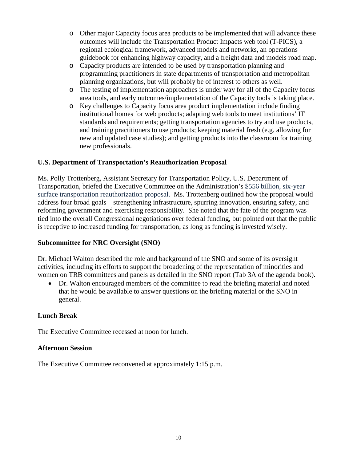- o Other major Capacity focus area products to be implemented that will advance these outcomes will include the Transportation Product Impacts web tool (T-PICS), a regional ecological framework, advanced models and networks, an operations guidebook for enhancing highway capacity, and a freight data and models road map.
- o Capacity products are intended to be used by transportation planning and programming practitioners in state departments of transportation and metropolitan planning organizations, but will probably be of interest to others as well.
- o The testing of implementation approaches is under way for all of the Capacity focus area tools, and early outcomes/implementation of the Capacity tools is taking place.
- o Key challenges to Capacity focus area product implementation include finding institutional homes for web products; adapting web tools to meet institutions' IT standards and requirements; getting transportation agencies to try and use products, and training practitioners to use products; keeping material fresh (e.g. allowing for new and updated case studies); and getting products into the classroom for training new professionals.

# <span id="page-9-0"></span>**U.S. Department of Transportation's Reauthorization Proposal**

Ms. Polly Trottenberg, Assistant Secretary for Transportation Policy, U.S. Department of Transportation, briefed the Executive Committee on the Administration's \$556 billion, six-year surface transportation reauthorization proposal. Ms. Trottenberg outlined how the proposal would address four broad goals—strengthening infrastructure, spurring innovation, ensuring safety, and reforming government and exercising responsibility. She noted that the fate of the program was tied into the overall Congressional negotiations over federal funding, but pointed out that the public is receptive to increased funding for transportation, as long as funding is invested wisely.

#### <span id="page-9-1"></span>**Subcommittee for NRC Oversight (SNO)**

Dr. Michael Walton described the role and background of the SNO and some of its oversight activities, including its efforts to support the broadening of the representation of minorities and women on TRB committees and panels as detailed in the SNO report (Tab 3A of the agenda book).

• Dr. Walton encouraged members of the committee to read the briefing material and noted that he would be available to answer questions on the briefing material or the SNO in general.

#### <span id="page-9-2"></span>**Lunch Break**

The Executive Committee recessed at noon for lunch.

### <span id="page-9-3"></span>**Afternoon Session**

<span id="page-9-4"></span>The Executive Committee reconvened at approximately 1:15 p.m.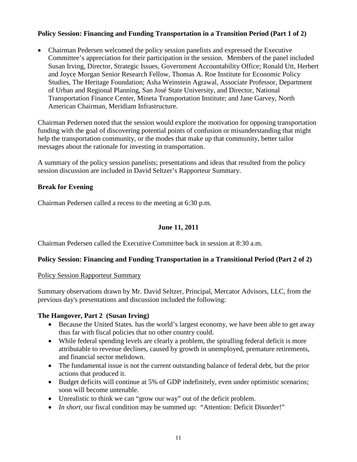# **Policy Session: Financing and Funding Transportation in a Transition Period (Part 1 of 2)**

• Chairman Pedersen welcomed the policy session panelists and expressed the Executive Committee's appreciation for their participation in the session. Members of the panel included Susan Irving, Director, Strategic Issues, Government Accountability Office; Ronald Utt, Herbert and Joyce Morgan Senior Research Fellow, Thomas A. Roe Institute for Economic Policy Studies, The Heritage Foundation; Asha Weinstein Agrawal, Associate Professor, Department of Urban and Regional Planning, San José State University, and Director, National Transportation Finance Center, Mineta Transportation Institute; and Jane Garvey, North American Chairman, Meridiam Infrastructure.

Chairman Pedersen noted that the session would explore the motivation for opposing transportation funding with the goal of discovering potential points of confusion or misunderstanding that might help the transportation community, or the modes that make up that community, better tailor messages about the rationale for investing in transportation.

A summary of the policy session panelists; presentations and ideas that resulted from the policy session discussion are included in David Seltzer's Rapporteur Summary.

### <span id="page-10-0"></span>**Break for Evening**

Chairman Pedersen called a recess to the meeting at 6:30 p.m.

### **June 11, 2011**

<span id="page-10-1"></span>Chairman Pedersen called the Executive Committee back in session at 8:30 a.m.

# <span id="page-10-2"></span>**Policy Session: Financing and Funding Transportation in a Transitional Period (Part 2 of 2)**

#### <span id="page-10-3"></span>Policy Session Rapporteur Summary

Summary observations drawn by Mr. David Seltzer, Principal, Mercator Advisors, LLC, from the previous day's presentations and discussion included the following:

#### **The Hangover, Part 2 (Susan Irving)**

- Because the United States. has the world's largest economy, we have been able to get away thus far with fiscal policies that no other country could.
- While federal spending levels are clearly a problem, the spiralling federal deficit is more attributable to revenue declines, caused by growth in unemployed, premature retirements, and financial sector meltdown.
- The fundamental issue is not the current outstanding balance of federal debt, but the prior actions that produced it.
- Budget deficits will continue at 5% of GDP indefinitely, even under optimistic scenarios; soon will become untenable.
- Unrealistic to think we can "grow our way" out of the deficit problem.
- *In short,* our fiscal condition may be summed up: "Attention: Deficit Disorder!"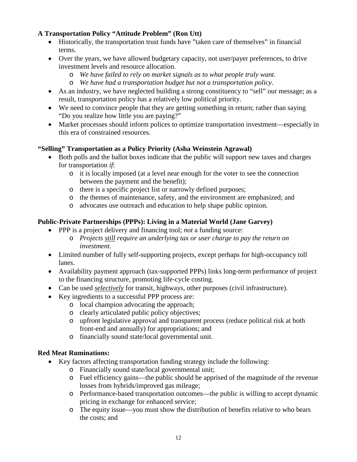# **A Transportation Policy "Attitude Problem" (Ron Utt)**

- Historically, the transportation trust funds have "taken care of themselves" in financial terms.
- Over the years, we have allowed budgetary capacity, not user/payer preferences, to drive investment levels and resource allocation.
	- o *We have failed to rely on market signals as to what people truly want.*
	- o *We have had a transportation budget but not a transportation policy*.
- As an industry, we have neglected building a strong constituency to "sell" our message; as a result, transportation policy has a relatively low political priority.
- We need to convince people that they are getting something in return; rather than saying "Do you realize how little you are paying?"
- Market processes should inform polices to optimize transportation investment—especially in this era of constrained resources.

# **"Selling" Transportation as a Policy Priority (Asha Weinstein Agrawal)**

- Both polls and the ballot boxes indicate that the public will support new taxes and charges for transportation *if*:
	- o it is locally imposed (at a level near enough for the voter to see the connection between the payment and the benefit);
	- o there is a specific project list or narrowly defined purposes;
	- o the themes of maintenance, safety, and the environment are emphasized; and
	- o advocates use outreach and education to help shape public opinion.

# **Public-Private Partnerships (PPPs): Living in a Material World (Jane Garvey)**

- PPP is a project delivery and financing tool; *not* a funding source:
	- o *Projects still require an underlying tax or user charge to pay the return on investment.*
- Limited number of fully self-supporting projects, except perhaps for high-occupancy toll lanes.
- Availability payment approach (tax-supported PPPs) links long-term performance of project to the financing structure, promoting life-cycle costing.
- Can be used *selectively* for transit, highways, other purposes (civil infrastructure).
- Key ingredients to a successful PPP process are:
	- o local champion advocating the approach;
	- o clearly articulated public policy objectives;
	- o upfront legislative approval and transparent process (reduce political risk at both front-end and annually) for appropriations; and
	- o financially sound state/local governmental unit.

# **Red Meat Ruminations:**

- Key factors affecting transportation funding strategy include the following:
	- o Financially sound state/local governmental unit;
	- o Fuel efficiency gains—the public should be apprised of the magnitude of the revenue losses from hybrids/improved gas mileage;
	- o Performance-based transportation outcomes—the public is willing to accept dynamic pricing in exchange for enhanced service;
	- o The equity issue—you must show the distribution of benefits relative to who bears the costs; and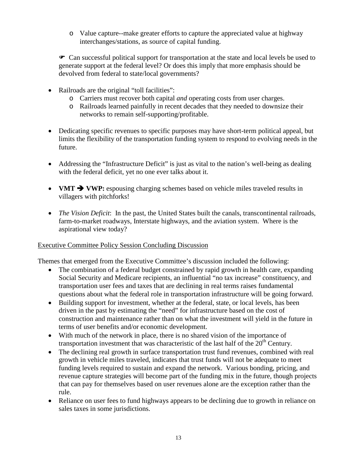o Value capture--make greater efforts to capture the appreciated value at highway interchanges/stations, as source of capital funding.

 Can successful political support for transportation at the state and local levels be used to generate support at the federal level? Or does this imply that more emphasis should be devolved from federal to state/local governments?

- Railroads are the original "toll facilities":
	- o Carriers must recover both capital *and* operating costs from user charges.
	- o Railroads learned painfully in recent decades that they needed to downsize their networks to remain self-supporting/profitable.
- Dedicating specific revenues to specific purposes may have short-term political appeal, but limits the flexibility of the transportation funding system to respond to evolving needs in the future.
- Addressing the "Infrastructure Deficit" is just as vital to the nation's well-being as dealing with the federal deficit, yet no one ever talks about it.
- **VMT**  $\rightarrow$  **VWP:** espousing charging schemes based on vehicle miles traveled results in villagers with pitchforks!
- *The Vision Deficit*: In the past, the United States built the canals, transcontinental railroads, farm-to-market roadways, Interstate highways, and the aviation system. Where is the aspirational view today?

# <span id="page-12-0"></span>Executive Committee Policy Session Concluding Discussion

Themes that emerged from the Executive Committee's discussion included the following:

- The combination of a federal budget constrained by rapid growth in health care, expanding Social Security and Medicare recipients, an influential "no tax increase" constituency, and transportation user fees and taxes that are declining in real terms raises fundamental questions about what the federal role in transportation infrastructure will be going forward.
- Building support for investment, whether at the federal, state, or local levels, has been driven in the past by estimating the "need" for infrastructure based on the cost of construction and maintenance rather than on what the investment will yield in the future in terms of user benefits and/or economic development.
- With much of the network in place, there is no shared vision of the importance of transportation investment that was characteristic of the last half of the  $20<sup>th</sup>$  Century.
- The declining real growth in surface transportation trust fund revenues, combined with real growth in vehicle miles traveled, indicates that trust funds will not be adequate to meet funding levels required to sustain and expand the network. Various bonding, pricing, and revenue capture strategies will become part of the funding mix in the future, though projects that can pay for themselves based on user revenues alone are the exception rather than the rule.
- Reliance on user fees to fund highways appears to be declining due to growth in reliance on sales taxes in some jurisdictions.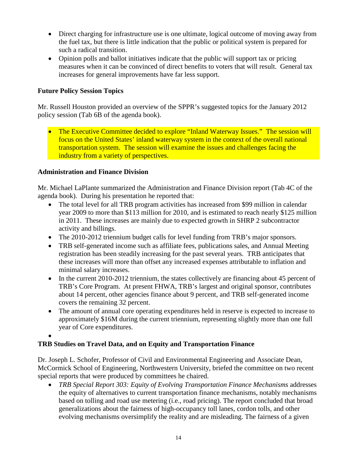- Direct charging for infrastructure use is one ultimate, logical outcome of moving away from the fuel tax, but there is little indication that the public or political system is prepared for such a radical transition.
- Opinion polls and ballot initiatives indicate that the public will support tax or pricing measures when it can be convinced of direct benefits to voters that will result. General tax increases for general improvements have far less support.

# <span id="page-13-0"></span>**Future Policy Session Topics**

Mr. Russell Houston provided an overview of the SPPR's suggested topics for the January 2012 policy session (Tab 6B of the agenda book).

• The Executive Committee decided to explore "Inland Waterway Issues." The session will focus on the United States' inland waterway system in the context of the overall national transportation system. The session will examine the issues and challenges facing the industry from a variety of perspectives.

# <span id="page-13-1"></span>**Administration and Finance Division**

Mr. Michael LaPlante summarized the Administration and Finance Division report (Tab 4C of the agenda book). During his presentation he reported that:

- The total level for all TRB program activities has increased from \$99 million in calendar year 2009 to more than \$113 million for 2010, and is estimated to reach nearly \$125 million in 2011. These increases are mainly due to expected growth in SHRP 2 subcontractor activity and billings.
- The 2010-2012 triennium budget calls for level funding from TRB's major sponsors.
- TRB self-generated income such as affiliate fees, publications sales, and Annual Meeting registration has been steadily increasing for the past several years. TRB anticipates that these increases will more than offset any increased expenses attributable to inflation and minimal salary increases.
- In the current 2010-2012 triennium, the states collectively are financing about 45 percent of TRB's Core Program. At present FHWA, TRB's largest and original sponsor, contributes about 14 percent, other agencies finance about 9 percent, and TRB self-generated income covers the remaining 32 percent.
- The amount of annual core operating expenditures held in reserve is expected to increase to approximately \$16M during the current triennium, representing slightly more than one full year of Core expenditures.

# •

# <span id="page-13-2"></span>**TRB Studies on Travel Data, and on Equity and Transportation Finance**

Dr. Joseph L. Schofer, Professor of Civil and Environmental Engineering and Associate Dean, McCormick School of Engineering, Northwestern University, briefed the committee on two recent special reports that were produced by committees he chaired.

• *TRB Special Report 303: Equity of Evolving Transportation Finance Mechanisms* addresses the equity of alternatives to current transportation finance mechanisms, notably mechanisms based on tolling and road use metering (i.e., road pricing). The report concluded that broad generalizations about the fairness of high-occupancy toll lanes, cordon tolls, and other evolving mechanisms oversimplify the reality and are misleading. The fairness of a given